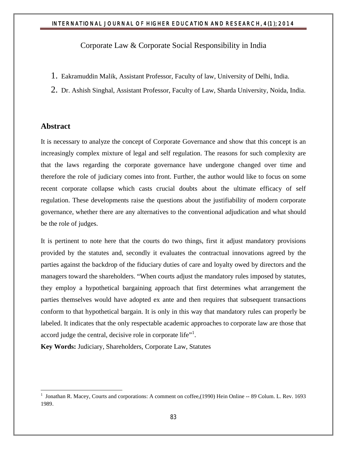Corporate Law & Corporate Social Responsibility in India

- 1. Eakramuddin Malik, Assistant Professor, Faculty of law, University of Delhi, India.
- 2. Dr. Ashish Singhal, Assistant Professor, Faculty of Law, Sharda University, Noida, India.

### **Abstract**

 $\overline{a}$ 

It is necessary to analyze the concept of Corporate Governance and show that this concept is an increasingly complex mixture of legal and self regulation. The reasons for such complexity are that the laws regarding the corporate governance have undergone changed over time and therefore the role of judiciary comes into front. Further, the author would like to focus on some recent corporate collapse which casts crucial doubts about the ultimate efficacy of self regulation. These developments raise the questions about the justifiability of modern corporate governance, whether there are any alternatives to the conventional adjudication and what should be the role of judges.

It is pertinent to note here that the courts do two things, first it adjust mandatory provisions provided by the statutes and, secondly it evaluates the contractual innovations agreed by the parties against the backdrop of the fiduciary duties of care and loyalty owed by directors and the managers toward the shareholders. "When courts adjust the mandatory rules imposed by statutes, they employ a hypothetical bargaining approach that first determines what arrangement the parties themselves would have adopted ex ante and then requires that subsequent transactions conform to that hypothetical bargain. It is only in this way that mandatory rules can properly be labeled. It indicates that the only respectable academic approaches to corporate law are those that accord judge the central, decisive role in corporate life"<sup>1</sup>.

**Key Words:** Judiciary, Shareholders, Corporate Law, Statutes

<sup>&</sup>lt;sup>1</sup> Jonathan R. Macey, Courts and corporations: A comment on coffee,(1990) Hein Online -- 89 Colum. L. Rev. 1693 1989.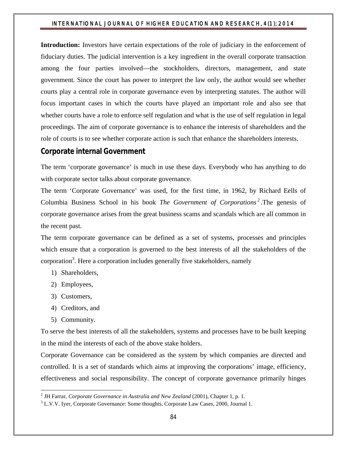**Introduction:** Investors have certain expectations of the role of judiciary in the enforcement of fiduciary duties. The judicial intervention is a key ingredient in the overall corporate transaction among the four parties involved—the stockholders, directors, management, and state government. Since the court has power to interpret the law only, the author would see whether courts play a central role in corporate governance even by interpreting statutes. The author will focus important cases in which the courts have played an important role and also see that whether courts have a role to enforce self regulation and what is the use of self regulation in legal proceedings. The aim of corporate governance is to enhance the interests of shareholders and the role of courts is to see whether corporate action is such that enhance the shareholders interests.

## **Corporate internal Government**

The term 'corporate governance' is much in use these days. Everybody who has anything to do with corporate sector talks about corporate governance.

The term 'Corporate Governance' was used, for the first time, in 1962, by Richard Eells of Columbia Business School in his book *The Government of Corporations <sup>2</sup> .*The genesis of corporate governance arises from the great business scams and scandals which are all common in the recent past.

The term corporate governance can be defined as a set of systems, processes and principles which ensure that a corporation is governed to the best interests of all the stakeholders of the corporation<sup>3</sup>. Here a corporation includes generally five stakeholders, namely

- 1) Shareholders,
- 2) Employees,
- 3) Customers,
- 4) Creditors, and
- 5) Community.

 $\overline{a}$ 

To serve the best interests of all the stakeholders, systems and processes have to be built keeping in the mind the interests of each of the above stake holders.

Corporate Governance can be considered as the system by which companies are directed and controlled. It is a set of standards which aims at improving the corporations' image, efficiency, effectiveness and social responsibility. The concept of corporate governance primarily hinges

<sup>2</sup> JH Farrar, *Corporate Governance in Australia and New Zealand* (2001), Chapter 1, p. 1.

<sup>&</sup>lt;sup>3</sup> L.V.V. Iyer, Corporate Governance: Some thoughts, Corporate Law Cases, 2000, Journal 1.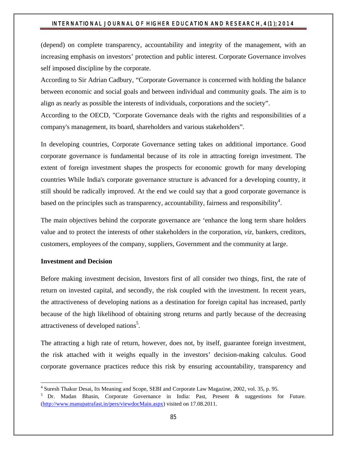(depend) on complete transparency, accountability and integrity of the management, with an increasing emphasis on investors' protection and public interest. Corporate Governance involves self imposed discipline by the corporate.

According to Sir Adrian Cadbury, "Corporate Governance is concerned with holding the balance between economic and social goals and between individual and community goals. The aim is to align as nearly as possible the interests of individuals, corporations and the society".

According to the OECD, "Corporate Governance deals with the rights and responsibilities of a company's management, its board, shareholders and various stakeholders".

In developing countries, Corporate Governance setting takes on additional importance. Good corporate governance is fundamental because of its role in attracting foreign investment. The extent of foreign investment shapes the prospects for economic growth for many developing countries While India's corporate governance structure is advanced for a developing country, it still should be radically improved. At the end we could say that a good corporate governance is based on the principles such as transparency, accountability, fairness and responsibility<sup>4</sup>.

The main objectives behind the corporate governance are 'enhance the long term share holders value and to protect the interests of other stakeholders in the corporation, *viz*, bankers, creditors, customers, employees of the company, suppliers, Government and the community at large.

#### **Investment and Decision**

 $\overline{a}$ 

Before making investment decision, Investors first of all consider two things, first, the rate of return on invested capital, and secondly, the risk coupled with the investment. In recent years, the attractiveness of developing nations as a destination for foreign capital has increased, partly because of the high likelihood of obtaining strong returns and partly because of the decreasing attractiveness of developed nations<sup>5</sup>.

The attracting a high rate of return, however, does not, by itself, guarantee foreign investment, the risk attached with it weighs equally in the investors' decision-making calculus. Good corporate governance practices reduce this risk by ensuring accountability, transparency and

<sup>4</sup> Suresh Thakur Desai, Its Meaning and Scope, SEBI and Corporate Law Magazine, 2002, vol. 35, p. 95.

<sup>&</sup>lt;sup>5</sup> Dr. Madan Bhasin, Corporate Governance in India: Past, Present & suggestions for Future. (http://www.manupatrafast.in/pers/viewdocMain.aspx) visited on 17.08.2011.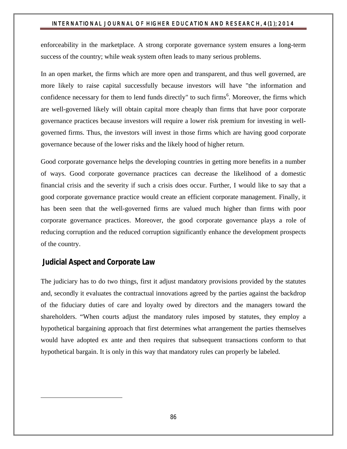enforceability in the marketplace. A strong corporate governance system ensures a long-term success of the country; while weak system often leads to many serious problems.

In an open market, the firms which are more open and transparent, and thus well governed, are more likely to raise capital successfully because investors will have "the information and confidence necessary for them to lend funds directly" to such firms<sup>6</sup>. Moreover, the firms which are well-governed likely will obtain capital more cheaply than firms that have poor corporate governance practices because investors will require a lower risk premium for investing in wellgoverned firms. Thus, the investors will invest in those firms which are having good corporate governance because of the lower risks and the likely hood of higher return.

Good corporate governance helps the developing countries in getting more benefits in a number of ways. Good corporate governance practices can decrease the likelihood of a domestic financial crisis and the severity if such a crisis does occur. Further, I would like to say that a good corporate governance practice would create an efficient corporate management. Finally, it has been seen that the well-governed firms are valued much higher than firms with poor corporate governance practices. Moreover, the good corporate governance plays a role of reducing corruption and the reduced corruption significantly enhance the development prospects of the country.

## **Judicial Aspect and Corporate Law**

 $\overline{a}$ 

The judiciary has to do two things, first it adjust mandatory provisions provided by the statutes and, secondly it evaluates the contractual innovations agreed by the parties against the backdrop of the fiduciary duties of care and loyalty owed by directors and the managers toward the shareholders. "When courts adjust the mandatory rules imposed by statutes, they employ a hypothetical bargaining approach that first determines what arrangement the parties themselves would have adopted ex ante and then requires that subsequent transactions conform to that hypothetical bargain. It is only in this way that mandatory rules can properly be labeled.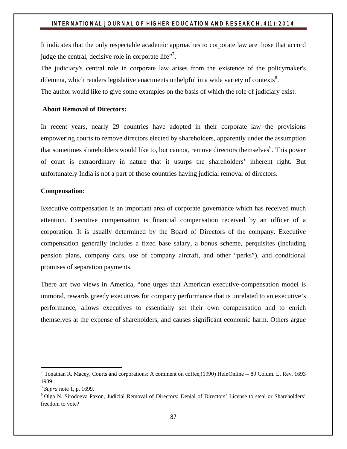It indicates that the only respectable academic approaches to corporate law are those that accord judge the central, decisive role in corporate life".

The judiciary's central role in corporate law arises from the existence of the policymaker's dilemma, which renders legislative enactments unhelpful in a wide variety of contexts<sup>8</sup>.

The author would like to give some examples on the basis of which the role of judiciary exist.

#### **About Removal of Directors:**

In recent years, nearly 29 countries have adopted in their corporate law the provisions empowering courts to remove directors elected by shareholders, apparently under the assumption that sometimes shareholders would like to, but cannot, remove directors themselves<sup>9</sup>. This power of court is extraordinary in nature that it usurps the shareholders' inherent right. But unfortunately India is not a part of those countries having judicial removal of directors.

#### **Compensation:**

Executive compensation is an important area of corporate governance which has received much attention. Executive compensation is financial compensation received by an officer of a corporation. It is usually determined by the Board of Directors of the company. Executive compensation generally includes a fixed base salary, a bonus scheme, perquisites (including pension plans, company cars, use of company aircraft, and other "perks"), and conditional promises of separation payments.

There are two views in America, "one urges that American executive-compensation model is immoral, rewards greedy executives for company performance that is unrelated to an executive's performance, allows executives to essentially set their own compensation and to enrich themselves at the expense of shareholders, and causes significant economic harm. Others argue

 $\overline{a}$ 

<sup>&</sup>lt;sup>7</sup> Jonathan R. Macey, Courts and corporations: A comment on coffee,(1990) HeinOnline -- 89 Colum. L. Rev. 1693 1989.

<sup>8</sup> *Supra* note 1, p. 1699.

<sup>9</sup> Olga N. Sirodoeva Paxon, Judicial Removal of Directors: Denial of Directors' License to steal or Shareholders' freedom to vote?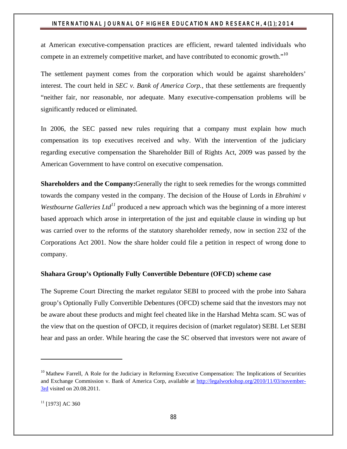at American executive-compensation practices are efficient, reward talented individuals who compete in an extremely competitive market, and have contributed to economic growth."<sup>10</sup>

The settlement payment comes from the corporation which would be against shareholders' interest. The court held in *SEC v. Bank of America Corp.*, that these settlements are frequently "neither fair, nor reasonable, nor adequate. Many executive-compensation problems will be significantly reduced or eliminated.

In 2006, the SEC passed new rules requiring that a company must explain how much compensation its top executives received and why. With the intervention of the judiciary regarding executive compensation the Shareholder Bill of Rights Act, 2009 was passed by the American Government to have control on executive compensation.

**Shareholders and the Company:**Generally the right to seek remedies for the wrongs committed towards the company vested in the company. The decision of the House of Lords in *Ebrahimi v Westbourne Galleries Ltd<sup>11</sup>* produced a new approach which was the beginning of a more interest based approach which arose in interpretation of the just and equitable clause in winding up but was carried over to the reforms of the statutory shareholder remedy, now in section 232 of the Corporations Act 2001. Now the share holder could file a petition in respect of wrong done to company.

#### **Shahara Group's Optionally Fully Convertible Debenture (OFCD) scheme case**

The Supreme Court Directing the market regulator SEBI to proceed with the probe into Sahara group's Optionally Fully Convertible Debentures (OFCD) scheme said that the investors may not be aware about these products and might feel cheated like in the Harshad Mehta scam. SC was of the view that on the question of OFCD, it requires decision of (market regulator) SEBI. Let SEBI hear and pass an order. While hearing the case the SC observed that investors were not aware of

 $\overline{a}$ 

 $10$  Mathew Farrell, A Role for the Judiciary in Reforming Executive Compensation: The Implications of Securities and Exchange Commission v. Bank of America Corp, available at http://legalworkshop.org/2010/11/03/november-3rd visited on 20.08.2011.

 $11$  [1973] AC 360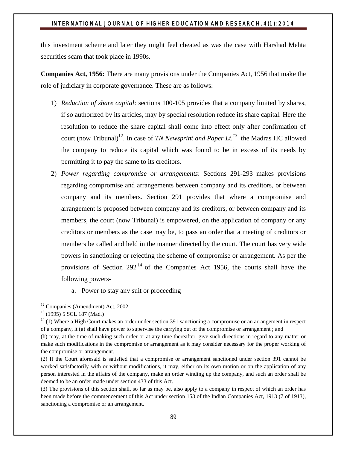this investment scheme and later they might feel cheated as was the case with Harshad Mehta securities scam that took place in 1990s.

**Companies Act, 1956:** There are many provisions under the Companies Act, 1956 that make the role of judiciary in corporate governance. These are as follows:

- 1) *Reduction of share capital*: sections 100-105 provides that a company limited by shares, if so authorized by its articles, may by special resolution reduce its share capital. Here the resolution to reduce the share capital shall come into effect only after confirmation of court (now Tribunal)<sup>12</sup>. In case of *TN Newsprint and Paper Lt.*<sup>13</sup> the Madras HC allowed the company to reduce its capital which was found to be in excess of its needs by permitting it to pay the same to its creditors.
- 2) *Power regarding compromise or arrangements*: Sections 291-293 makes provisions regarding compromise and arrangements between company and its creditors, or between company and its members. Section 291 provides that where a compromise and arrangement is proposed between company and its creditors, or between company and its members, the court (now Tribunal) is empowered, on the application of company or any creditors or members as the case may be, to pass an order that a meeting of creditors or members be called and held in the manner directed by the court. The court has very wide powers in sanctioning or rejecting the scheme of compromise or arrangement. As per the provisions of Section  $292<sup>14</sup>$  of the Companies Act 1956, the courts shall have the following powers
	- a. Power to stay any suit or proceeding

l

<sup>&</sup>lt;sup>12</sup> Companies (Amendment) Act, 2002.<br><sup>13</sup> (1995) 5 SCL 187 (Mad.)

 $14$  (1) Where a High Court makes an order under section 391 sanctioning a compromise or an arrangement in respect of a company, it (a) shall have power to supervise the carrying out of the compromise or arrangement ; and

<sup>(</sup>b) may, at the time of making such order or at any time thereafter, give such directions in regard to any matter or make such modifications in the compromise or arrangement as it may consider necessary for the proper working of the compromise or arrangement.

<sup>(2)</sup> If the Court aforesaid is satisfied that a compromise or arrangement sanctioned under section 391 cannot be worked satisfactorily with or without modifications, it may, either on its own motion or on the application of any person interested in the affairs of the company, make an order winding up the company, and such an order shall be deemed to be an order made under section 433 of this Act.

<sup>(3)</sup> The provisions of this section shall, so far as may be, also apply to a company in respect of which an order has been made before the commencement of this Act under section 153 of the Indian Companies Act, 1913 (7 of 1913), sanctioning a compromise or an arrangement.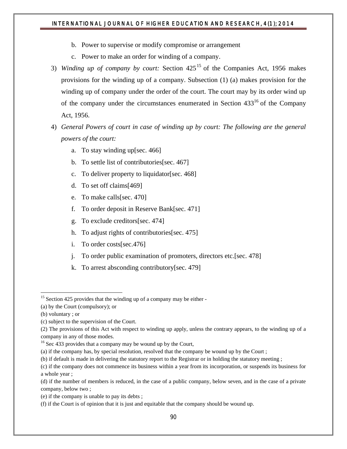- b. Power to supervise or modify compromise or arrangement
- c. Power to make an order for winding of a company.
- 3) *Winding up of company by court:* Section 425<sup>15</sup> of the Companies Act, 1956 makes provisions for the winding up of a company. Subsection (1) (a) makes provision for the winding up of company under the order of the court. The court may by its order wind up of the company under the circumstances enumerated in Section  $433^{16}$  of the Company Act, 1956.
- 4) *General Powers of court in case of winding up by court: The following are the general powers of the court:*
	- a. To stay winding up[sec. 466]
	- b. To settle list of contributories[sec. 467]
	- c. To deliver property to liquidator[sec. 468]
	- d. To set off claims[469]
	- e. To make calls[sec. 470]
	- f. To order deposit in Reserve Bank[sec. 471]
	- g. To exclude creditors[sec. 474]
	- h. To adjust rights of contributories[sec. 475]
	- i. To order costs[sec.476]
	- j. To order public examination of promoters, directors etc.[sec. 478]
	- k. To arrest absconding contributory[sec. 479]

l

 $15$  Section 425 provides that the winding up of a company may be either -

<sup>(</sup>a) by the Court (compulsory); or

<sup>(</sup>b) voluntary ; or

<sup>(</sup>c) subject to the supervision of the Court.

<sup>(2)</sup> The provisions of this Act with respect to winding up apply, unless the contrary appears, to the winding up of a company in any of those modes.

<sup>&</sup>lt;sup>16</sup> Sec 433 provides that a company may be wound up by the Court,

<sup>(</sup>a) if the company has, by special resolution, resolved that the company be wound up by the Court ;

<sup>(</sup>b) if default is made in delivering the statutory report to the Registrar or in holding the statutory meeting ;

<sup>(</sup>c) if the company does not commence its business within a year from its incorporation, or suspends its business for a whole year ;

<sup>(</sup>d) if the number of members is reduced, in the case of a public company, below seven, and in the case of a private company, below two ;

<sup>(</sup>e) if the company is unable to pay its debts ;

<sup>(</sup>f) if the Court is of opinion that it is just and equitable that the company should be wound up.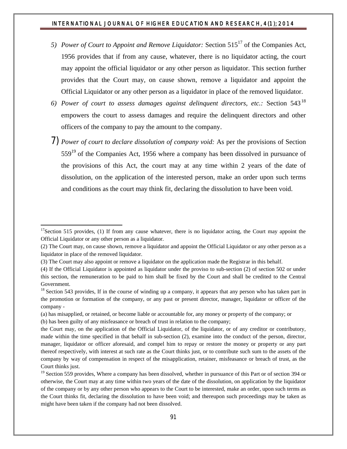- *5) Power of Court to Appoint and Remove Liquidator: Section 515<sup>17</sup> of the Companies Act,* 1956 provides that if from any cause, whatever, there is no liquidator acting, the court may appoint the official liquidator or any other person as liquidator. This section further provides that the Court may, on cause shown, remove a liquidator and appoint the Official Liquidator or any other person as a liquidator in place of the removed liquidator.
- *6) Power of court to assess damages against delinquent directors, etc.:* Section 543<sup>18</sup> empowers the court to assess damages and require the delinquent directors and other officers of the company to pay the amount to the company.
- 7) *Power of court to declare dissolution of company void:* As per the provisions of Section  $559<sup>19</sup>$  of the Companies Act, 1956 where a company has been dissolved in pursuance of the provisions of this Act, the court may at any time within 2 years of the date of dissolution, on the application of the interested person, make an order upon such terms and conditions as the court may think fit, declaring the dissolution to have been void.

(b) has been guilty of any misfeasance or breach of trust in relation to the company;

 $\overline{a}$ 

 $17$ Section 515 provides, (1) If from any cause whatever, there is no liquidator acting, the Court may appoint the Official Liquidator or any other person as a liquidator.

<sup>(2)</sup> The Court may, on cause shown, remove a liquidator and appoint the Official Liquidator or any other person as a liquidator in place of the removed liquidator.

<sup>(3)</sup> The Court may also appoint or remove a liquidator on the application made the Registrar in this behalf.

<sup>(4)</sup> If the Official Liquidator is appointed as liquidator under the proviso to sub-section (2) of section 502 or under this section, the remuneration to be paid to him shall be fixed by the Court and shall be credited to the Central Government.

 $18$  Section 543 provides, If in the course of winding up a company, it appears that any person who has taken part in the promotion or formation of the company, or any past or present director, manager, liquidator or officer of the company -

<sup>(</sup>a) has misapplied, or retained, or become liable or accountable for, any money or property of the company; or

the Court may, on the application of the Official Liquidator, of the liquidator, or of any creditor or contributory, made within the time specified in that behalf in sub-section (2), examine into the conduct of the person, director, manager, liquidator or officer aforesaid, and compel him to repay or restore the money or property or any part thereof respectively, with interest at such rate as the Court thinks just, or to contribute such sum to the assets of the company by way of compensation in respect of the misapplication, retainer, misfeasance or breach of trust, as the Court thinks just.

<sup>&</sup>lt;sup>19</sup> Section 559 provides, Where a company has been dissolved, whether in pursuance of this Part or of section 394 or otherwise, the Court may at any time within two years of the date of the dissolution, on application by the liquidator of the company or by any other person who appears to the Court to be interested, make an order, upon such terms as the Court thinks fit, declaring the dissolution to have been void; and thereupon such proceedings may be taken as might have been taken if the company had not been dissolved.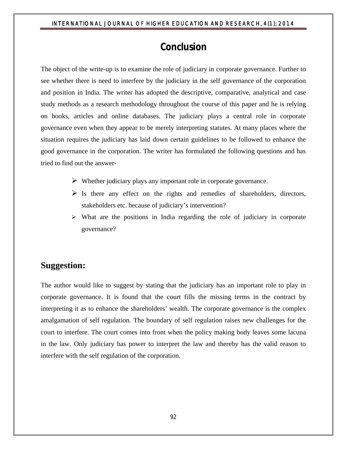# **Conclusion**

The object of the write-up is to examine the role of judiciary in corporate governance. Further to see whether there is need to interfere by the judiciary in the self governance of the corporation and position in India. The writer has adopted the descriptive, comparative, analytical and case study methods as a research methodology throughout the course of this paper and he is relying on books, articles and online databases. The judiciary plays a central role in corporate governance even when they appear to be merely interpreting statutes. At many places where the situation requires the judiciary has laid down certain guidelines to be followed to enhance the good governance in the corporation. The writer has formulated the following questions and has tried to find out the answer-

- $\triangleright$  Whether judiciary plays any important role in corporate governance.
- $\triangleright$  Is there any effect on the rights and remedies of shareholders, directors, stakeholders etc. because of judiciary's intervention?
- $\triangleright$  What are the positions in India regarding the role of judiciary in corporate governance?

# **Suggestion:**

The author would like to suggest by stating that the judiciary has an important role to play in corporate governance. It is found that the court fills the missing terms in the contract by interpreting it as to enhance the shareholders' wealth. The corporate governance is the complex amalgamation of self regulation. The boundary of self regulation raises new challenges for the court to interfere. The court comes into front when the policy making body leaves some lacuna in the law. Only judiciary has power to interpret the law and thereby has the valid reason to interfere with the self regulation of the corporation.